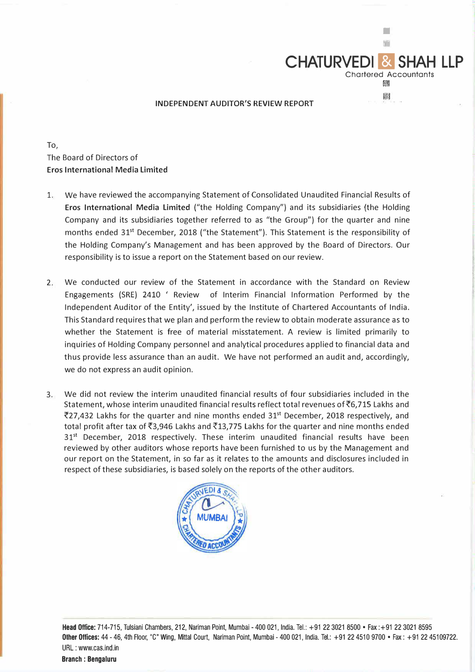

• ■

Chartered Accountants |[潮

圈

**CHATURVEDI & SHA** 

To, The Board of Directors of **Eros International Media Limited** 

- 1. We have reviewed the accompanying Statement of Consolidated Unaudited Financial Results of **Eros International Media Limited** ("the Holding Company") and its subsidiaries {the Holding Company and its subsidiaries together referred to as "the Group") for the quarter and nine months ended 31<sup>st</sup> December, 2018 ("the Statement"). This Statement is the responsibility of the Holding Company's Management and has been approved by the Board of Directors. Our responsibility is to issue a report on the Statement based on our review.
- 2. We conducted our review of the Statement in accordance with the Standard on Review Engagements (SRE) 2410 ' Review of Interim Financial Information Performed by the Independent Auditor of the Entity', issued by the Institute of Chartered Accountants of India. This Standard requires that we plan and perform the review to obtain moderate assurance as to whether the Statement is free of material misstatement. A review is limited primarily to inquiries of Holding Company personnel and analytical procedures applied to financial data and thus provide less assurance than an audit. We have not performed an audit and, accordingly, we do not express an audit opinion.
- 3. We did not review the interim unaudited financial results of four subsidiaries included in the Statement, whose interim unaudited financial results reflect total revenues of �6,715 Lakhs and  $\overline{5}$ 27,432 Lakhs for the quarter and nine months ended 31<sup>st</sup> December, 2018 respectively, and total profit after tax of  $\overline{53,946}$  Lakhs and  $\overline{513,775}$  Lakhs for the quarter and nine months ended 31<sup>st</sup> December, 2018 respectively. These interim unaudited financial results have been reviewed by other auditors whose reports have been furnished to us by the Management and our report on the Statement, in so far as it relates to the amounts and disclosures included in respect of these subsidiaries, is based solely on the reports of the other auditors.



**Head Office:** 714-715, Tulsiani Chambers, 212, Nariman Point, Mumbai - 400 021, India. Tel.: +91 22 3021 8500 • Fax :+91 22 3021 8595 **Other Offices:** 44 - 46, 4th Floor, "C" Wing, Mittal Court, Nariman Point, Mumbai - 400 021, India. Tel.: +91 22 451 0 9700 • Fax: +91 22 45109722. URL : www.cas.ind.in

**Branch : Bengaluru**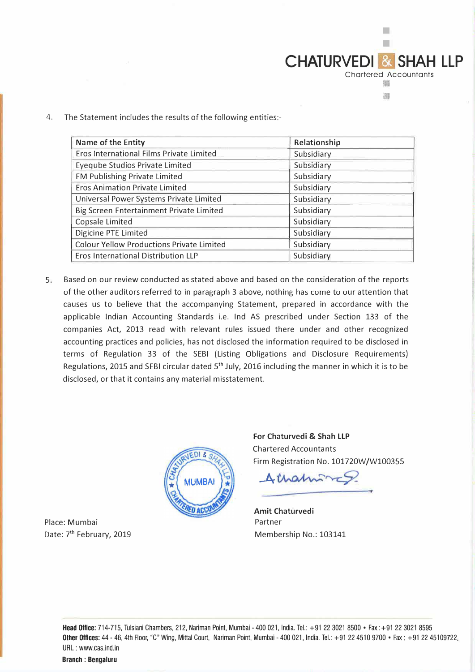

■

4. The Statement includes the results of the following entities:-

| Name of the Entity                               | Relationship |  |
|--------------------------------------------------|--------------|--|
| Eros International Films Private Limited         | Subsidiary   |  |
| <b>Eyeqube Studios Private Limited</b>           | Subsidiary   |  |
| <b>EM Publishing Private Limited</b>             | Subsidiary   |  |
| <b>Eros Animation Private Limited</b>            | Subsidiary   |  |
| Universal Power Systems Private Limited          | Subsidiary   |  |
| Big Screen Entertainment Private Limited         | Subsidiary   |  |
| Copsale Limited                                  | Subsidiary   |  |
| Digicine PTE Limited                             | Subsidiary   |  |
| <b>Colour Yellow Productions Private Limited</b> | Subsidiary   |  |
| Eros International Distribution LLP              | Subsidiary   |  |

5. Based on our review conducted as stated above and based on the consideration of the reports of the other auditors referred to in paragraph 3 above, nothing has corne to our attention that causes us to believe that the accompanying Statement, prepared in accordance with the applicable Indian Accounting Standards i.e. Ind AS prescribed under Section 133 of the companies Act, 2013 read with relevant rules issued there under and other recognized accounting practices and policies, has not disclosed the information required to be disclosed in terms of Regulation 33 of the SEBI (Listing Obligations and Disclosure Requirements) Regulations, 2015 and SEBI circular dated 5<sup>th</sup> July, 2016 including the manner in which it is to be disclosed, or that it contains any material misstatement.



**For Chaturvedi** & **Shah LLP**  Chartered Accountants Firm Registration No. 101720W/W100355

Amaminco

**Amit Chaturvedi**  Partner Membership No.: 103141

Place: Mumbai Date: 7<sup>th</sup> February, 2019

> Head Office: 714-715, Tulsiani Chambers, 212, Nariman Point, Mumbai - 400 021, India. Tel.: +91223021 8500 • Fax :+91223021 8595 Other Offices: 44 - 46, 4th Floor, "C" Wing, Mittal Court, Nariman Point, Mumbai - 400 021, India. Tel.: +91 22 4510 9700 • Fax: +91 22 45109722. URL : www.cas.ind.in

Branch : Bengaluru